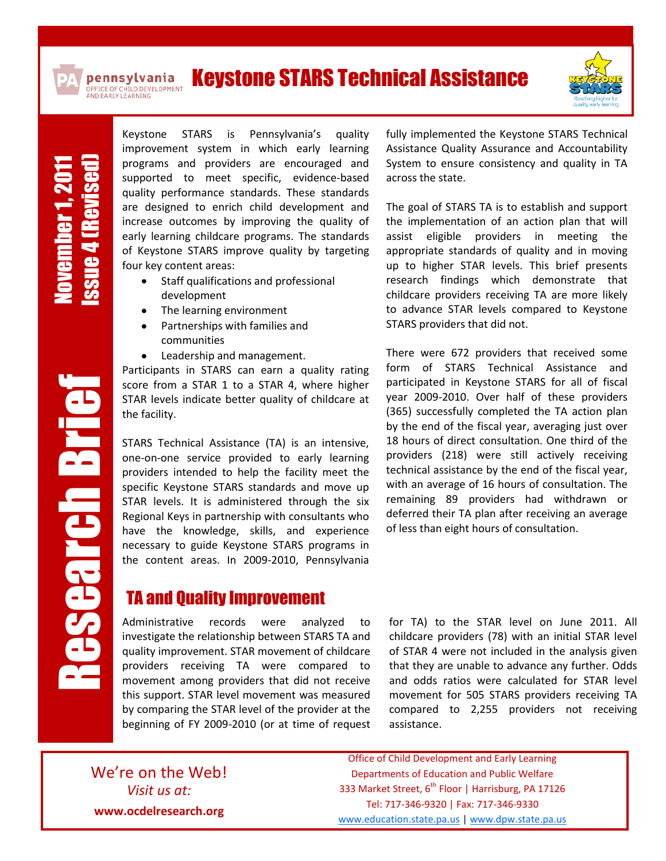

pennsylvania

## Keystone STARS Technical Assistance OFFICE OF CHILD DEVELOPMENT<br>AND EARLY LEARNING



November1, 2011 Issue 4(Revised) Keystone STARS is Pennsylvania's quality improvement system in which early learning programs and providers are encouraged and supported to meet specific, evidence-based quality performance standards. These standards are designed to enrich child development and increase outcomes by improving the quality of early learning childcare programs. The standards of Keystone STARS improve quality by targeting four key content areas:

- Staff qualifications and professional development
- The learning environment  $\bullet$
- Partnerships with families and  $\bullet$ communities
- Leadership and management.

Participants in STARS can earn a quality rating score from a STAR 1 to a STAR 4, where higher STAR levels indicate better quality of childcare at the facility.

STARS Technical Assistance (TA) is an intensive, one-on-one service provided to early learning providers intended to help the facility meet the specific Keystone STARS standards and move up STAR levels. It is administered through the six Regional Keys in partnership with consultants who have the knowledge, skills, and experience necessary to guide Keystone STARS programs in the content areas. In 2009-2010, Pennsylvania

## TA and Quality Improvement

Administrative records were analyzed to investigate the relationship between STARS TA and quality improvement. STAR movement of childcare providers receiving TA were compared to movement among providers that did not receive this support. STAR level movement was measured by comparing the STAR level of the provider at the beginning of FY 2009-2010 (or at time of request fully implemented the Keystone STARS Technical Assistance Quality Assurance and Accountability System to ensure consistency and quality in TA across the state.

The goal of STARS TA is to establish and support the implementation of an action plan that will assist eligible providers in meeting the appropriate standards of quality and in moving up to higher STAR levels. This brief presents research findings which demonstrate that childcare providers receiving TA are more likely to advance STAR levels compared to Keystone STARS providers that did not.

There were 672 providers that received some form of STARS Technical Assistance and participated in Keystone STARS for all of fiscal year 2009-2010. Over half of these providers (365) successfully completed the TA action plan by the end of the fiscal year, averaging just over 18 hours of direct consultation. One third of the providers (218) were still actively receiving technical assistance by the end of the fiscal year, with an average of 16 hours of consultation. The remaining 89 providers had withdrawn or deferred their TA plan after receiving an average of less than eight hours of consultation.

for TA) to the STAR level on June 2011. All childcare providers (78) with an initial STAR level of STAR 4 were not included in the analysis given that they are unable to advance any further. Odds and odds ratios were calculated for STAR level movement for 505 STARS providers receiving TA compared to 2,255 providers not receiving assistance.

We're on the Web! *Visit us at:* **www.ocdelresearch.org**

Office of Child Development and Early Learning Departments of Education and Public Welfare 333 Market Street, 6<sup>th</sup> Floor | Harrisburg, PA 17126 Tel: 717-346-9320 | Fax: 717-346-9330 [www.education.state.pa.us](http://www.education.state.pa.us/) | [www.dpw.state.pa.us](http://www.dpw.state.pa.us/)